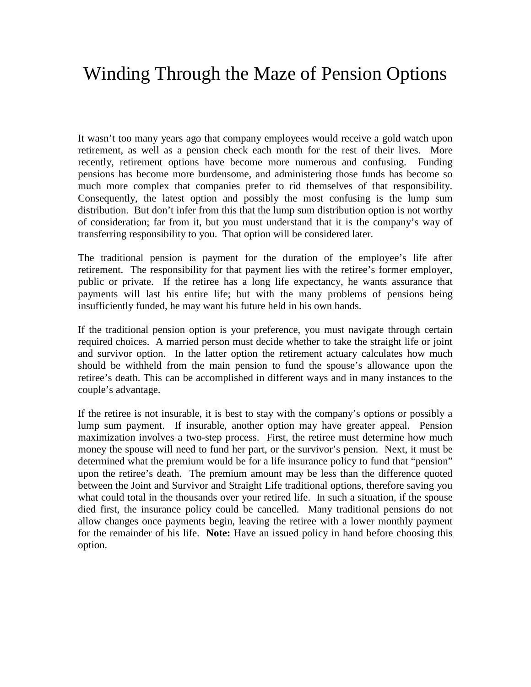## Winding Through the Maze of Pension Options

It wasn't too many years ago that company employees would receive a gold watch upon retirement, as well as a pension check each month for the rest of their lives. More recently, retirement options have become more numerous and confusing. Funding pensions has become more burdensome, and administering those funds has become so much more complex that companies prefer to rid themselves of that responsibility. Consequently, the latest option and possibly the most confusing is the lump sum distribution. But don't infer from this that the lump sum distribution option is not worthy of consideration; far from it, but you must understand that it is the company's way of transferring responsibility to you. That option will be considered later.

The traditional pension is payment for the duration of the employee's life after retirement. The responsibility for that payment lies with the retiree's former employer, public or private. If the retiree has a long life expectancy, he wants assurance that payments will last his entire life; but with the many problems of pensions being insufficiently funded, he may want his future held in his own hands.

If the traditional pension option is your preference, you must navigate through certain required choices. A married person must decide whether to take the straight life or joint and survivor option. In the latter option the retirement actuary calculates how much should be withheld from the main pension to fund the spouse's allowance upon the retiree's death. This can be accomplished in different ways and in many instances to the couple's advantage.

If the retiree is not insurable, it is best to stay with the company's options or possibly a lump sum payment. If insurable, another option may have greater appeal. Pension maximization involves a two-step process. First, the retiree must determine how much money the spouse will need to fund her part, or the survivor's pension. Next, it must be determined what the premium would be for a life insurance policy to fund that "pension" upon the retiree's death. The premium amount may be less than the difference quoted between the Joint and Survivor and Straight Life traditional options, therefore saving you what could total in the thousands over your retired life. In such a situation, if the spouse died first, the insurance policy could be cancelled. Many traditional pensions do not allow changes once payments begin, leaving the retiree with a lower monthly payment for the remainder of his life. **Note:** Have an issued policy in hand before choosing this option.